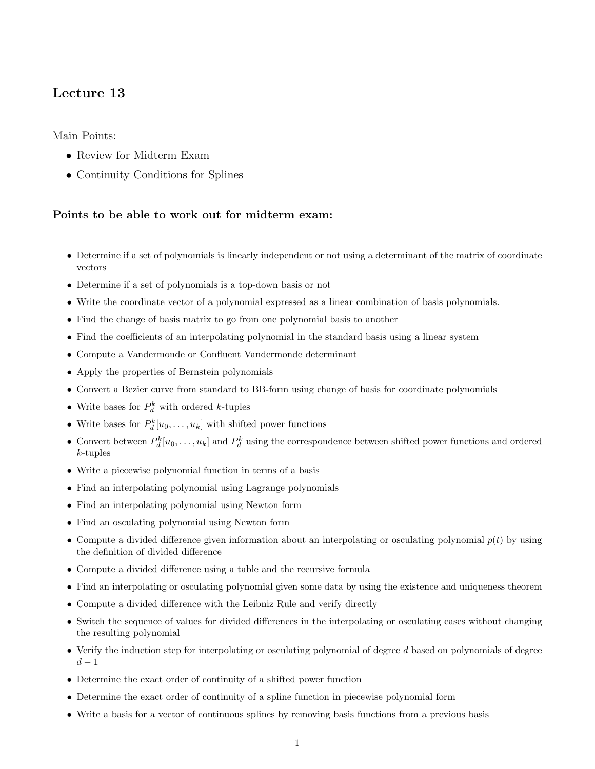## Lecture 13

Main Points:

- Review for Midterm Exam
- Continuity Conditions for Splines

## Points to be able to work out for midterm exam:

- Determine if a set of polynomials is linearly independent or not using a determinant of the matrix of coordinate vectors
- Determine if a set of polynomials is a top-down basis or not
- Write the coordinate vector of a polynomial expressed as a linear combination of basis polynomials.
- Find the change of basis matrix to go from one polynomial basis to another
- Find the coefficients of an interpolating polynomial in the standard basis using a linear system
- Compute a Vandermonde or Confluent Vandermonde determinant
- Apply the properties of Bernstein polynomials
- Convert a Bezier curve from standard to BB-form using change of basis for coordinate polynomials
- Write bases for  $P_d^k$  with ordered k-tuples
- Write bases for  $P_d^k[u_0, \ldots, u_k]$  with shifted power functions
- Convert between  $P_d^k[u_0,\ldots,u_k]$  and  $P_d^k$  using the correspondence between shifted power functions and ordered k-tuples
- Write a piecewise polynomial function in terms of a basis
- Find an interpolating polynomial using Lagrange polynomials
- Find an interpolating polynomial using Newton form
- Find an osculating polynomial using Newton form
- Compute a divided difference given information about an interpolating or osculating polynomial  $p(t)$  by using the definition of divided difference
- Compute a divided difference using a table and the recursive formula
- Find an interpolating or osculating polynomial given some data by using the existence and uniqueness theorem
- Compute a divided difference with the Leibniz Rule and verify directly
- Switch the sequence of values for divided differences in the interpolating or osculating cases without changing the resulting polynomial
- Verify the induction step for interpolating or osculating polynomial of degree  $d$  based on polynomials of degree  $d-1$
- Determine the exact order of continuity of a shifted power function
- Determine the exact order of continuity of a spline function in piecewise polynomial form
- Write a basis for a vector of continuous splines by removing basis functions from a previous basis